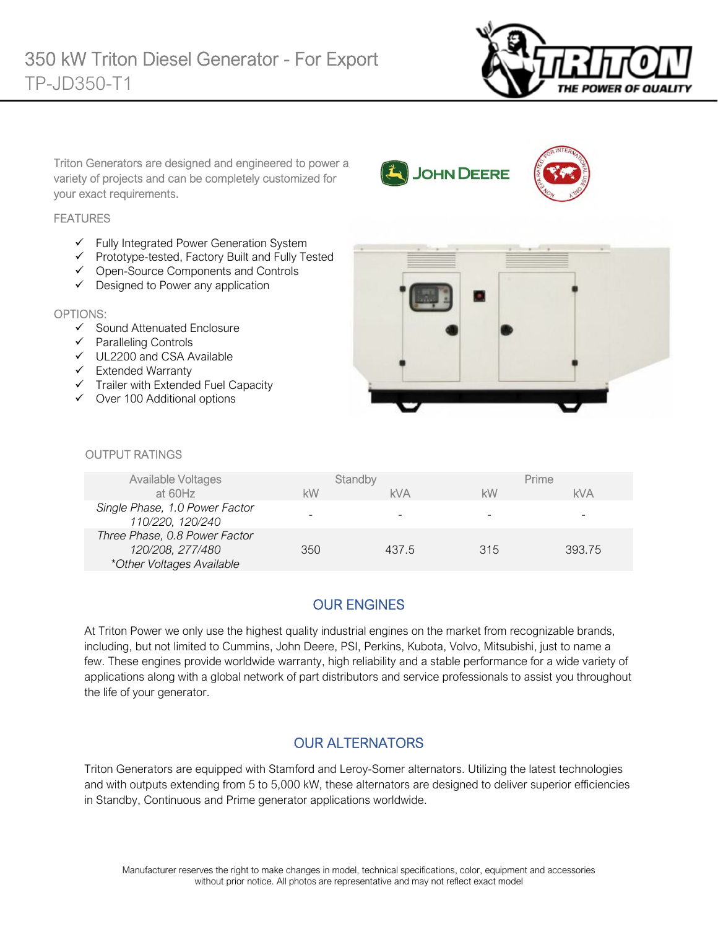

Triton Generators are designed and engineered to power a variety of projects and can be completely customized for your exact requirements.

#### **FEATURES**

- $\checkmark$  Fully Integrated Power Generation System
- $\checkmark$  Prototype-tested, Factory Built and Fully Tested
- Open-Source Components and Controls
- $\checkmark$  Designed to Power any application

#### OPTIONS:

- $\checkmark$  Sound Attenuated Enclosure
- $\checkmark$  Paralleling Controls
- UL2200 and CSA Available
- $\checkmark$  Extended Warranty
- $\checkmark$  Trailer with Extended Fuel Capacity
- $\checkmark$  Over 100 Additional options



**JOHN DEERE** 

#### *<u>OUTPUT RATINGS</u>*

| Available Voltages                                                             |     | Standby    |     | Prime  |
|--------------------------------------------------------------------------------|-----|------------|-----|--------|
| at 60Hz                                                                        | kW  | <b>kVA</b> | kW  | kVA    |
| Single Phase, 1.0 Power Factor<br>110/220, 120/240                             |     |            |     |        |
| Three Phase, 0.8 Power Factor<br>120/208, 277/480<br>*Other Voltages Available | 350 | 437.5      | 315 | 393.75 |

### OUR ENGINES

At Triton Power we only use the highest quality industrial engines on the market from recognizable brands, including, but not limited to Cummins, John Deere, PSI, Perkins, Kubota, Volvo, Mitsubishi, just to name a few. These engines provide worldwide warranty, high reliability and a stable performance for a wide variety of applications along with a global network of part distributors and service professionals to assist you throughout the life of your generator.

### OUR ALTERNATORS

Triton Generators are equipped with Stamford and Leroy-Somer alternators. Utilizing the latest technologies and with outputs extending from 5 to 5,000 kW, these alternators are designed to deliver superior efficiencies in Standby, Continuous and Prime generator applications worldwide.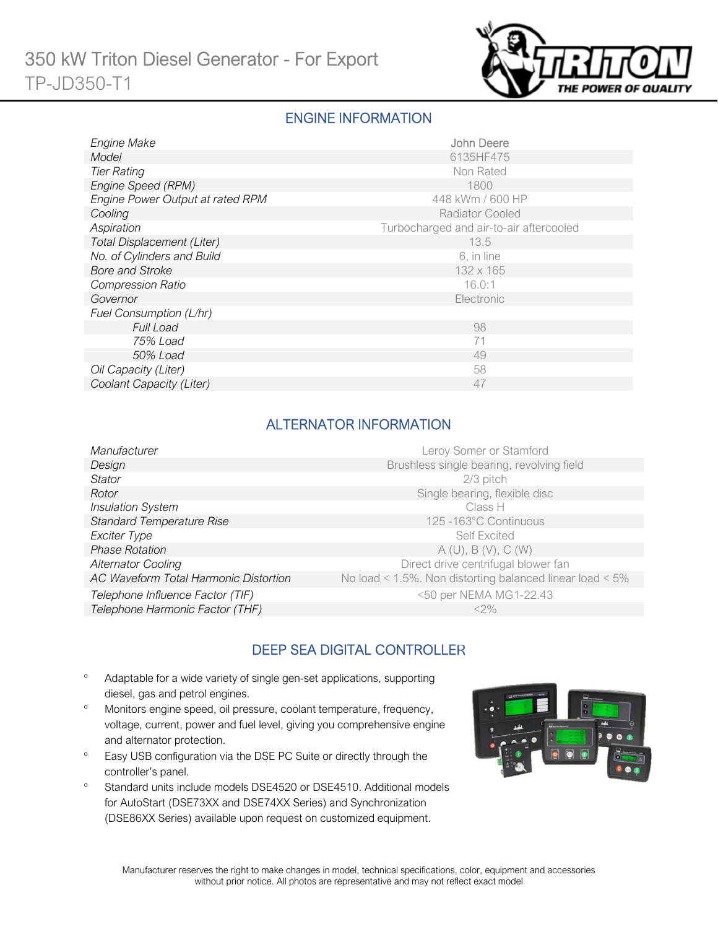

### ENGINE INFORMATION

| Engine Make                      | John Deere                              |
|----------------------------------|-----------------------------------------|
| Model                            | 6135HF475                               |
| <b>Tier Rating</b>               | Non Rated                               |
| Engine Speed (RPM)               | 1800                                    |
| Engine Power Output at rated RPM | 448 kWm / 600 HP                        |
| Cooling                          | <b>Radiator Cooled</b>                  |
| Aspiration                       | Turbocharged and air-to-air aftercooled |
| Total Displacement (Liter)       | 13.5                                    |
| No. of Cylinders and Build       | 6, in line                              |
| <b>Bore and Stroke</b>           | 132 x 165                               |
| <b>Compression Ratio</b>         | 16.0:1                                  |
| Governor                         | Electronic                              |
| Fuel Consumption (L/hr)          |                                         |
| <b>Full Load</b>                 | 98                                      |
| 75% Load                         | 71                                      |
| 50% Load                         | 49                                      |
| Oil Capacity (Liter)             | 58                                      |
| Coolant Capacity (Liter)         | 47                                      |

### ALTERNATOR INFORMATION

| Manufacturer                          | Leroy Somer or Stamford                                         |
|---------------------------------------|-----------------------------------------------------------------|
| Design                                | Brushless single bearing, revolving field                       |
| Stator                                | $2/3$ pitch                                                     |
| Rotor                                 | Single bearing, flexible disc                                   |
| <b>Insulation System</b>              | Class H                                                         |
| <b>Standard Temperature Rise</b>      | 125-163°C Continuous                                            |
| Exciter Type                          | <b>Self Excited</b>                                             |
| <b>Phase Rotation</b>                 | A(U), B(V), C(W)                                                |
| <b>Alternator Cooling</b>             | Direct drive centrifugal blower fan                             |
| AC Waveform Total Harmonic Distortion | No load < $1.5\%$ . Non distorting balanced linear load < $5\%$ |
| Telephone Influence Factor (TIF)      | <50 per NEMA MG1-22.43                                          |
| Telephone Harmonic Factor (THF)       | $<$ 2%                                                          |

# DEEP SEA DIGITAL CONTROLLER

- Adaptable for a wide variety of single gen-set applications, supporting diesel, gas and petrol engines.
- Monitors engine speed, oil pressure, coolant temperature, frequency, voltage, current, power and fuel level, giving you comprehensive engine and alternator protection.
- <sup>o</sup> Easy USB configuration via the DSE PC Suite or directly through the controller's panel.
- <sup>o</sup> Standard units include models DSE4520 or DSE4510. Additional models for AutoStart (DSE73XX and DSE74XX Series) and Synchronization (DSE86XX Series) available upon request on customized equipment.

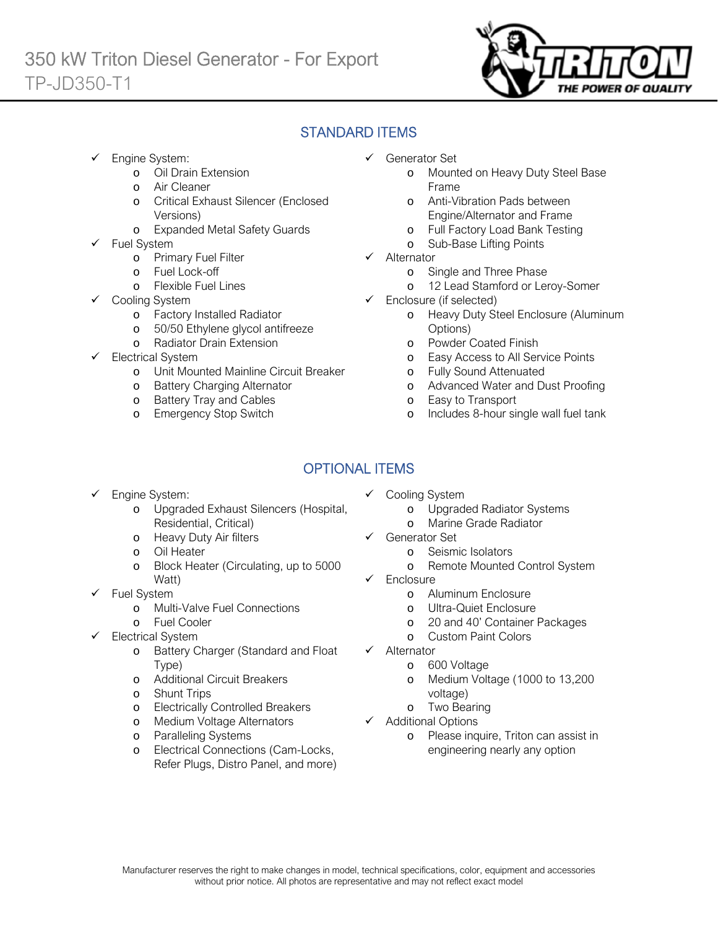

# STANDARD ITEMS

- Engine System:
	- o Oil Drain Extension
	- o Air Cleaner
	- o Critical Exhaust Silencer (Enclosed Versions)
	- o Expanded Metal Safety Guards
- Fuel System
	- o Primary Fuel Filter
	- o Fuel Lock-off
		- o Flexible Fuel Lines
	- Cooling System
		- o Factory Installed Radiator
		- o 50/50 Ethylene glycol antifreeze
		- o Radiator Drain Extension
- Electrical System
	- o Unit Mounted Mainline Circuit Breaker
	- o Battery Charging Alternator
	- o Battery Tray and Cables
	- o Emergency Stop Switch
- Generator Set
	- o Mounted on Heavy Duty Steel Base Frame
	- o Anti-Vibration Pads between Engine/Alternator and Frame
	- o Full Factory Load Bank Testing
	- o Sub-Base Lifting Points
- $\checkmark$  Alternator
	- o Single and Three Phase
	- o 12 Lead Stamford or Leroy-Somer
- $\checkmark$  Enclosure (if selected)
	- o Heavy Duty Steel Enclosure (Aluminum Options)
	- o Powder Coated Finish
	- o Easy Access to All Service Points
	- o Fully Sound Attenuated
	- o Advanced Water and Dust Proofing
	- o Easy to Transport
	- o Includes 8-hour single wall fuel tank

# OPTIONAL ITEMS

- Engine System:
	- o Upgraded Exhaust Silencers (Hospital, Residential, Critical)
	- o Heavy Duty Air filters
	- o Oil Heater
	- o Block Heater (Circulating, up to 5000 Watt)
- $\checkmark$  Fuel System
	- o Multi-Valve Fuel Connections
	- o Fuel Cooler
- Electrical System
	- o Battery Charger (Standard and Float Type)
	- o Additional Circuit Breakers
	- o Shunt Trips
	- o Electrically Controlled Breakers
	- o Medium Voltage Alternators
	- o Paralleling Systems
	- o Electrical Connections (Cam-Locks, Refer Plugs, Distro Panel, and more)
- $\checkmark$  Cooling System
	- o Upgraded Radiator Systems
	- o Marine Grade Radiator
- Generator Set
	- o Seismic Isolators
	- o Remote Mounted Control System
- Enclosure
	- o Aluminum Enclosure
	- o Ultra-Quiet Enclosure
	- o 20 and 40' Container Packages
	- o Custom Paint Colors
- $\checkmark$  Alternator
	- o 600 Voltage
	- o Medium Voltage (1000 to 13,200 voltage)
	- o Two Bearing
- $\checkmark$  Additional Options
	- o Please inquire, Triton can assist in engineering nearly any option